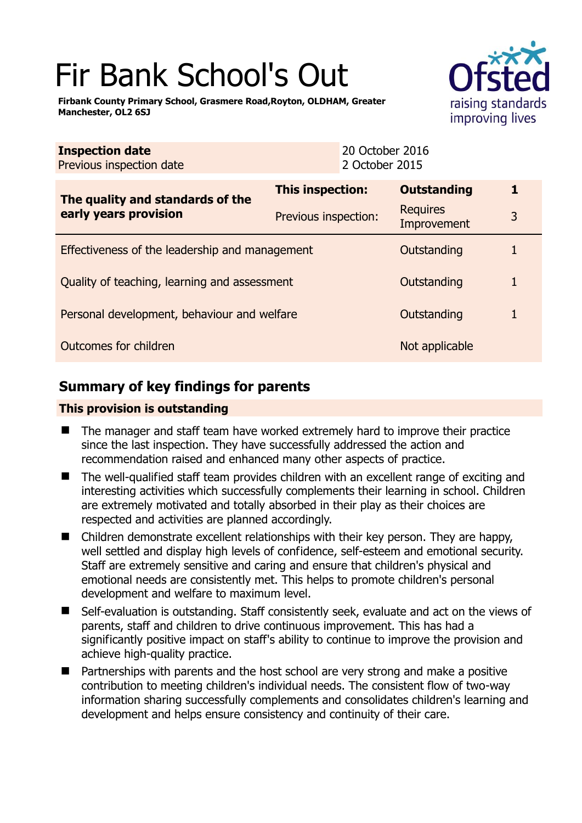# Fir Bank School's Out

**Firbank County Primary School, Grasmere Road,Royton, OLDHAM, Greater Manchester, OL2 6SJ** 



| <b>Inspection date</b><br>Previous inspection date        |                      | 20 October 2016<br>2 October 2015 |   |
|-----------------------------------------------------------|----------------------|-----------------------------------|---|
| The quality and standards of the<br>early years provision | This inspection:     | <b>Outstanding</b>                | 1 |
|                                                           | Previous inspection: | <b>Requires</b><br>Improvement    | 3 |
| Effectiveness of the leadership and management            |                      | Outstanding                       |   |
| Quality of teaching, learning and assessment              |                      | Outstanding                       |   |
| Personal development, behaviour and welfare               |                      | Outstanding                       |   |
| Outcomes for children                                     |                      | Not applicable                    |   |

# **Summary of key findings for parents**

## **This provision is outstanding**

- The manager and staff team have worked extremely hard to improve their practice since the last inspection. They have successfully addressed the action and recommendation raised and enhanced many other aspects of practice.
- The well-qualified staff team provides children with an excellent range of exciting and interesting activities which successfully complements their learning in school. Children are extremely motivated and totally absorbed in their play as their choices are respected and activities are planned accordingly.
- Children demonstrate excellent relationships with their key person. They are happy, well settled and display high levels of confidence, self-esteem and emotional security. Staff are extremely sensitive and caring and ensure that children's physical and emotional needs are consistently met. This helps to promote children's personal development and welfare to maximum level.
- Self-evaluation is outstanding. Staff consistently seek, evaluate and act on the views of parents, staff and children to drive continuous improvement. This has had a significantly positive impact on staff's ability to continue to improve the provision and achieve high-quality practice.
- Partnerships with parents and the host school are very strong and make a positive contribution to meeting children's individual needs. The consistent flow of two-way information sharing successfully complements and consolidates children's learning and development and helps ensure consistency and continuity of their care.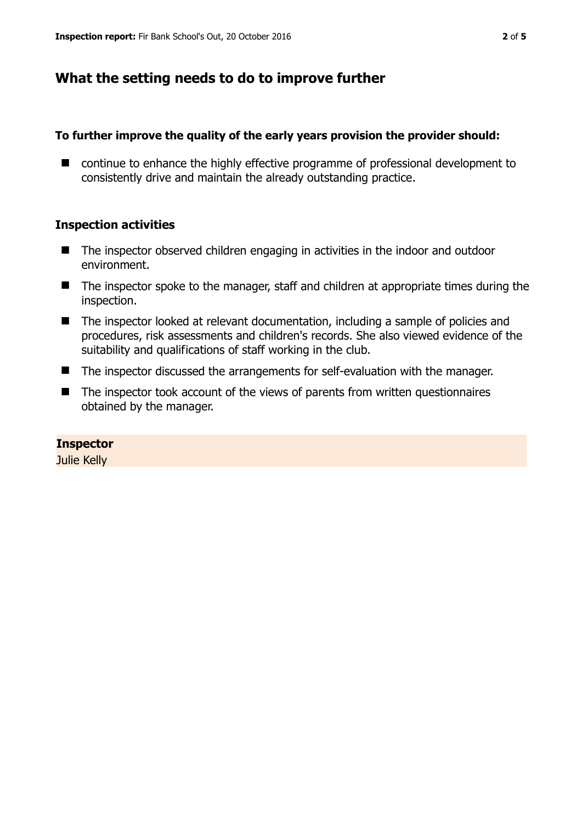# **What the setting needs to do to improve further**

## **To further improve the quality of the early years provision the provider should:**

■ continue to enhance the highly effective programme of professional development to consistently drive and maintain the already outstanding practice.

## **Inspection activities**

- The inspector observed children engaging in activities in the indoor and outdoor environment.
- The inspector spoke to the manager, staff and children at appropriate times during the inspection.
- The inspector looked at relevant documentation, including a sample of policies and procedures, risk assessments and children's records. She also viewed evidence of the suitability and qualifications of staff working in the club.
- The inspector discussed the arrangements for self-evaluation with the manager.
- The inspector took account of the views of parents from written questionnaires obtained by the manager.

## **Inspector**

Julie Kelly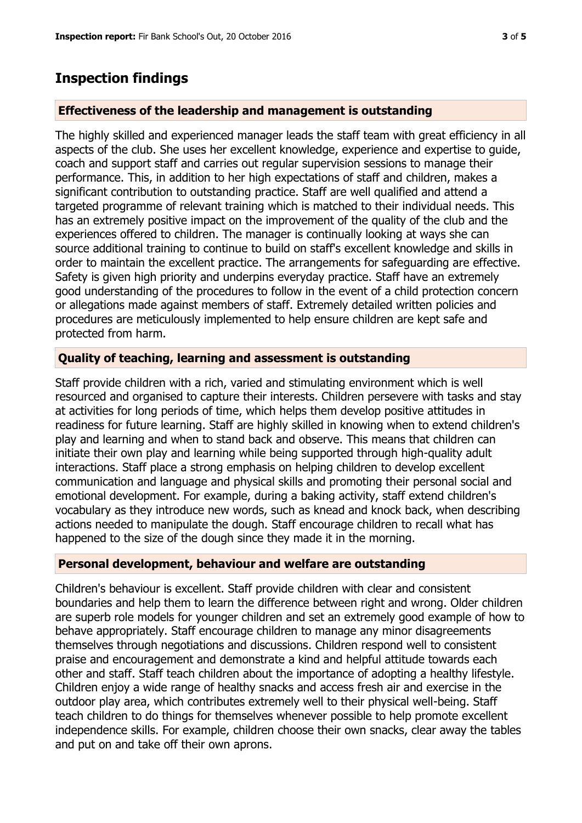## **Inspection findings**

#### **Effectiveness of the leadership and management is outstanding**

The highly skilled and experienced manager leads the staff team with great efficiency in all aspects of the club. She uses her excellent knowledge, experience and expertise to guide, coach and support staff and carries out regular supervision sessions to manage their performance. This, in addition to her high expectations of staff and children, makes a significant contribution to outstanding practice. Staff are well qualified and attend a targeted programme of relevant training which is matched to their individual needs. This has an extremely positive impact on the improvement of the quality of the club and the experiences offered to children. The manager is continually looking at ways she can source additional training to continue to build on staff's excellent knowledge and skills in order to maintain the excellent practice. The arrangements for safeguarding are effective. Safety is given high priority and underpins everyday practice. Staff have an extremely good understanding of the procedures to follow in the event of a child protection concern or allegations made against members of staff. Extremely detailed written policies and procedures are meticulously implemented to help ensure children are kept safe and protected from harm.

### **Quality of teaching, learning and assessment is outstanding**

Staff provide children with a rich, varied and stimulating environment which is well resourced and organised to capture their interests. Children persevere with tasks and stay at activities for long periods of time, which helps them develop positive attitudes in readiness for future learning. Staff are highly skilled in knowing when to extend children's play and learning and when to stand back and observe. This means that children can initiate their own play and learning while being supported through high-quality adult interactions. Staff place a strong emphasis on helping children to develop excellent communication and language and physical skills and promoting their personal social and emotional development. For example, during a baking activity, staff extend children's vocabulary as they introduce new words, such as knead and knock back, when describing actions needed to manipulate the dough. Staff encourage children to recall what has happened to the size of the dough since they made it in the morning.

#### **Personal development, behaviour and welfare are outstanding**

Children's behaviour is excellent. Staff provide children with clear and consistent boundaries and help them to learn the difference between right and wrong. Older children are superb role models for younger children and set an extremely good example of how to behave appropriately. Staff encourage children to manage any minor disagreements themselves through negotiations and discussions. Children respond well to consistent praise and encouragement and demonstrate a kind and helpful attitude towards each other and staff. Staff teach children about the importance of adopting a healthy lifestyle. Children enjoy a wide range of healthy snacks and access fresh air and exercise in the outdoor play area, which contributes extremely well to their physical well-being. Staff teach children to do things for themselves whenever possible to help promote excellent independence skills. For example, children choose their own snacks, clear away the tables and put on and take off their own aprons.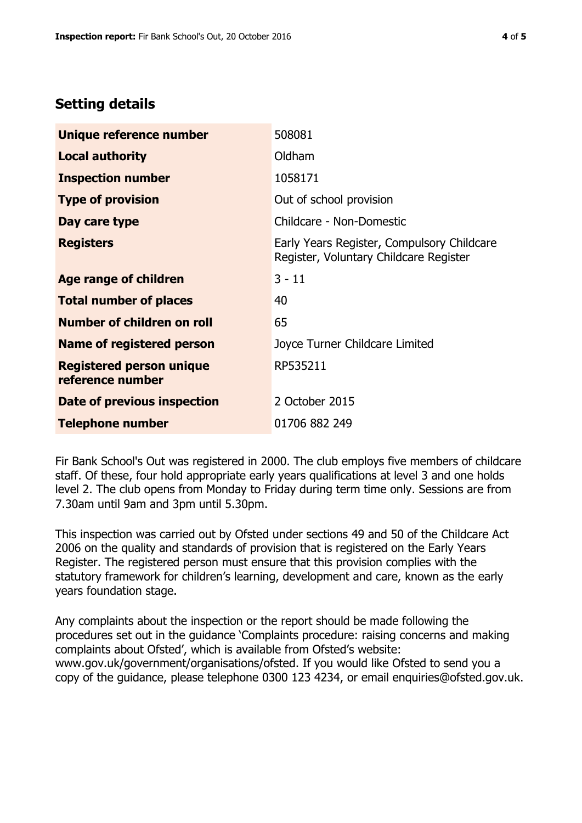# **Setting details**

| Unique reference number                             | 508081                                                                               |  |
|-----------------------------------------------------|--------------------------------------------------------------------------------------|--|
| <b>Local authority</b>                              | Oldham                                                                               |  |
| <b>Inspection number</b>                            | 1058171                                                                              |  |
| <b>Type of provision</b>                            | Out of school provision                                                              |  |
| Day care type                                       | Childcare - Non-Domestic                                                             |  |
| <b>Registers</b>                                    | Early Years Register, Compulsory Childcare<br>Register, Voluntary Childcare Register |  |
| Age range of children                               | $3 - 11$                                                                             |  |
| <b>Total number of places</b>                       | 40                                                                                   |  |
| Number of children on roll                          | 65                                                                                   |  |
| Name of registered person                           | Joyce Turner Childcare Limited                                                       |  |
| <b>Registered person unique</b><br>reference number | RP535211                                                                             |  |
| Date of previous inspection                         | 2 October 2015                                                                       |  |
| <b>Telephone number</b>                             | 01706 882 249                                                                        |  |

Fir Bank School's Out was registered in 2000. The club employs five members of childcare staff. Of these, four hold appropriate early years qualifications at level 3 and one holds level 2. The club opens from Monday to Friday during term time only. Sessions are from 7.30am until 9am and 3pm until 5.30pm.

This inspection was carried out by Ofsted under sections 49 and 50 of the Childcare Act 2006 on the quality and standards of provision that is registered on the Early Years Register. The registered person must ensure that this provision complies with the statutory framework for children's learning, development and care, known as the early years foundation stage.

Any complaints about the inspection or the report should be made following the procedures set out in the guidance 'Complaints procedure: raising concerns and making complaints about Ofsted', which is available from Ofsted's website: www.gov.uk/government/organisations/ofsted. If you would like Ofsted to send you a copy of the guidance, please telephone 0300 123 4234, or email enquiries@ofsted.gov.uk.